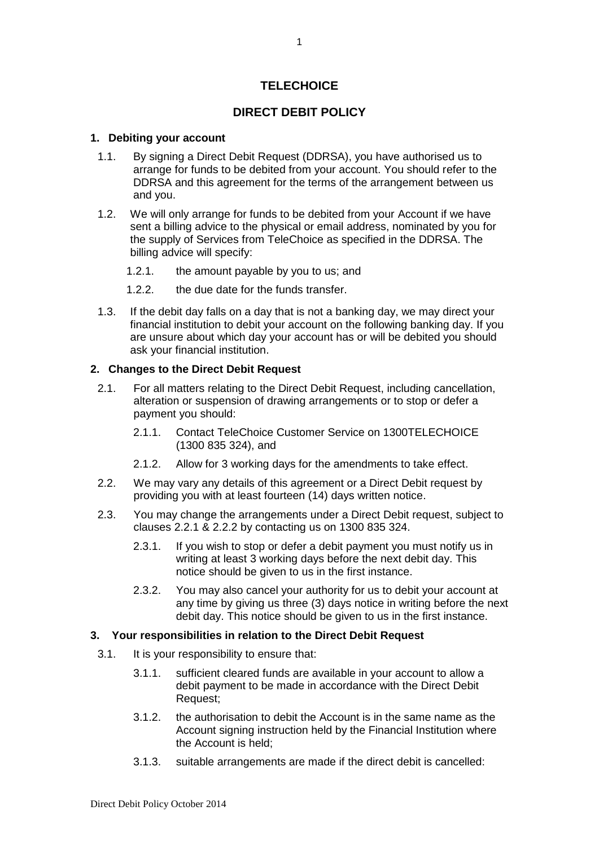# **TELECHOICE**

# **DIRECT DEBIT POLICY**

#### **1. Debiting your account**

- 1.1. By signing a Direct Debit Request (DDRSA), you have authorised us to arrange for funds to be debited from your account. You should refer to the DDRSA and this agreement for the terms of the arrangement between us and you.
- 1.2. We will only arrange for funds to be debited from your Account if we have sent a billing advice to the physical or email address, nominated by you for the supply of Services from TeleChoice as specified in the DDRSA. The billing advice will specify:
	- 1.2.1. the amount payable by you to us; and
	- 1.2.2. the due date for the funds transfer.
- 1.3. If the debit day falls on a day that is not a banking day, we may direct your financial institution to debit your account on the following banking day. If you are unsure about which day your account has or will be debited you should ask your financial institution.

### **2. Changes to the Direct Debit Request**

- 2.1. For all matters relating to the Direct Debit Request, including cancellation, alteration or suspension of drawing arrangements or to stop or defer a payment you should:
	- 2.1.1. Contact TeleChoice Customer Service on 1300TELECHOICE (1300 835 324), and
	- 2.1.2. Allow for 3 working days for the amendments to take effect.
- 2.2. We may vary any details of this agreement or a Direct Debit request by providing you with at least fourteen (14) days written notice.
- 2.3. You may change the arrangements under a Direct Debit request, subject to clauses 2.2.1 & 2.2.2 by contacting us on 1300 835 324.
	- 2.3.1. If you wish to stop or defer a debit payment you must notify us in writing at least 3 working days before the next debit day. This notice should be given to us in the first instance.
	- 2.3.2. You may also cancel your authority for us to debit your account at any time by giving us three (3) days notice in writing before the next debit day. This notice should be given to us in the first instance.

#### **3. Your responsibilities in relation to the Direct Debit Request**

- 3.1. It is your responsibility to ensure that:
	- 3.1.1. sufficient cleared funds are available in your account to allow a debit payment to be made in accordance with the Direct Debit Request;
	- 3.1.2. the authorisation to debit the Account is in the same name as the Account signing instruction held by the Financial Institution where the Account is held;
	- 3.1.3. suitable arrangements are made if the direct debit is cancelled: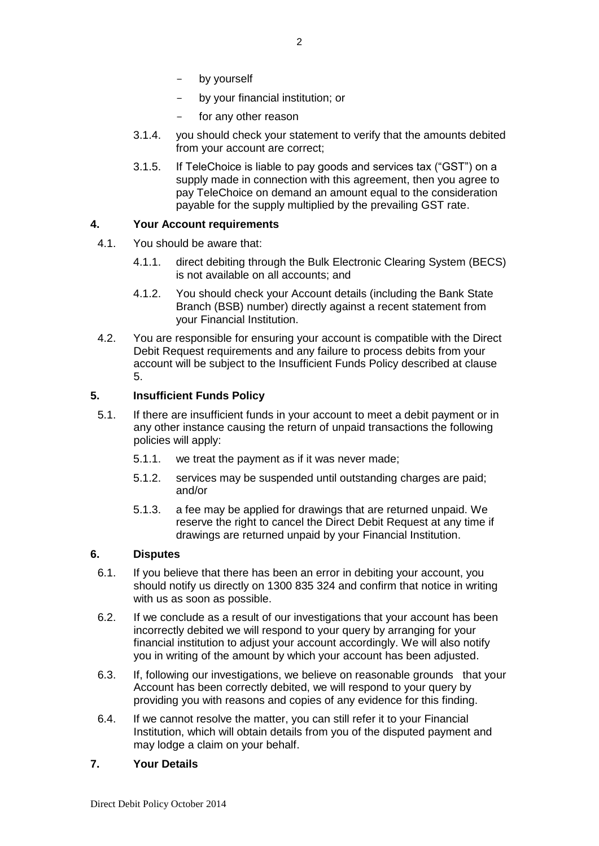- by yourself
- by your financial institution; or
- for any other reason
- 3.1.4. you should check your statement to verify that the amounts debited from your account are correct;
- 3.1.5. If TeleChoice is liable to pay goods and services tax ("GST") on a supply made in connection with this agreement, then you agree to pay TeleChoice on demand an amount equal to the consideration payable for the supply multiplied by the prevailing GST rate.

## **4. Your Account requirements**

- 4.1. You should be aware that:
	- 4.1.1. direct debiting through the Bulk Electronic Clearing System (BECS) is not available on all accounts; and
	- 4.1.2. You should check your Account details (including the Bank State Branch (BSB) number) directly against a recent statement from your Financial Institution.
- 4.2. You are responsible for ensuring your account is compatible with the Direct Debit Request requirements and any failure to process debits from your account will be subject to the Insufficient Funds Policy described at clause 5.

## **5. Insufficient Funds Policy**

- 5.1. If there are insufficient funds in your account to meet a debit payment or in any other instance causing the return of unpaid transactions the following policies will apply:
	- 5.1.1. we treat the payment as if it was never made;
	- 5.1.2. services may be suspended until outstanding charges are paid; and/or
	- 5.1.3. a fee may be applied for drawings that are returned unpaid. We reserve the right to cancel the Direct Debit Request at any time if drawings are returned unpaid by your Financial Institution.

## **6. Disputes**

- 6.1. If you believe that there has been an error in debiting your account, you should notify us directly on 1300 835 324 and confirm that notice in writing with us as soon as possible.
- 6.2. If we conclude as a result of our investigations that your account has been incorrectly debited we will respond to your query by arranging for your financial institution to adjust your account accordingly. We will also notify you in writing of the amount by which your account has been adjusted.
- 6.3. If, following our investigations, we believe on reasonable grounds that your Account has been correctly debited, we will respond to your query by providing you with reasons and copies of any evidence for this finding.
- 6.4. If we cannot resolve the matter, you can still refer it to your Financial Institution, which will obtain details from you of the disputed payment and may lodge a claim on your behalf.

## **7. Your Details**